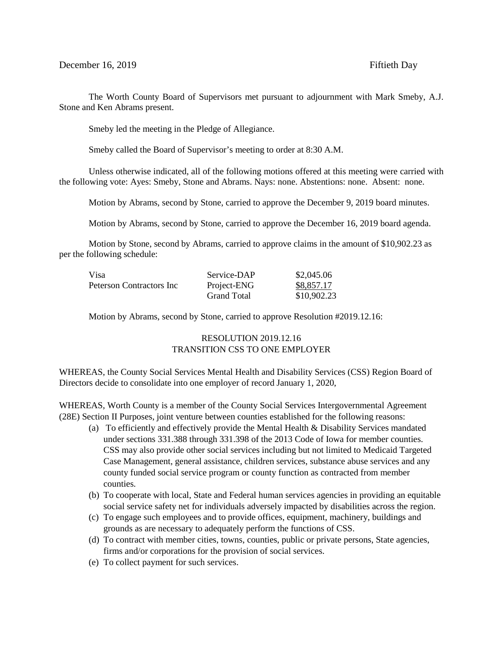The Worth County Board of Supervisors met pursuant to adjournment with Mark Smeby, A.J. Stone and Ken Abrams present.

Smeby led the meeting in the Pledge of Allegiance.

Smeby called the Board of Supervisor's meeting to order at 8:30 A.M.

Unless otherwise indicated, all of the following motions offered at this meeting were carried with the following vote: Ayes: Smeby, Stone and Abrams. Nays: none. Abstentions: none. Absent: none.

Motion by Abrams, second by Stone, carried to approve the December 9, 2019 board minutes.

Motion by Abrams, second by Stone, carried to approve the December 16, 2019 board agenda.

Motion by Stone, second by Abrams, carried to approve claims in the amount of \$10,902.23 as per the following schedule:

| Visa                     | Service-DAP        | \$2,045.06  |
|--------------------------|--------------------|-------------|
| Peterson Contractors Inc | Project-ENG        | \$8,857.17  |
|                          | <b>Grand Total</b> | \$10,902.23 |

Motion by Abrams, second by Stone, carried to approve Resolution #2019.12.16:

## RESOLUTION 2019.12.16 TRANSITION CSS TO ONE EMPLOYER

WHEREAS, the County Social Services Mental Health and Disability Services (CSS) Region Board of Directors decide to consolidate into one employer of record January 1, 2020,

WHEREAS, Worth County is a member of the County Social Services Intergovernmental Agreement (28E) Section II Purposes, joint venture between counties established for the following reasons:

- (a) To efficiently and effectively provide the Mental Health & Disability Services mandated under sections 331.388 through 331.398 of the 2013 Code of Iowa for member counties. CSS may also provide other social services including but not limited to Medicaid Targeted Case Management, general assistance, children services, substance abuse services and any county funded social service program or county function as contracted from member counties.
- (b) To cooperate with local, State and Federal human services agencies in providing an equitable social service safety net for individuals adversely impacted by disabilities across the region.
- (c) To engage such employees and to provide offices, equipment, machinery, buildings and grounds as are necessary to adequately perform the functions of CSS.
- (d) To contract with member cities, towns, counties, public or private persons, State agencies, firms and/or corporations for the provision of social services.
- (e) To collect payment for such services.